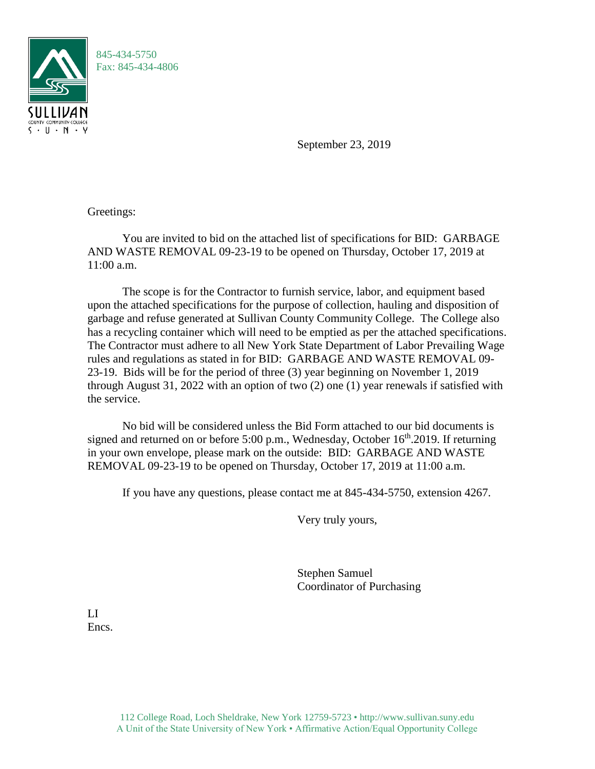

September 23, 2019

Greetings:

You are invited to bid on the attached list of specifications for BID: GARBAGE AND WASTE REMOVAL 09-23-19 to be opened on Thursday, October 17, 2019 at 11:00 a.m.

The scope is for the Contractor to furnish service, labor, and equipment based upon the attached specifications for the purpose of collection, hauling and disposition of garbage and refuse generated at Sullivan County Community College. The College also has a recycling container which will need to be emptied as per the attached specifications. The Contractor must adhere to all New York State Department of Labor Prevailing Wage rules and regulations as stated in for BID: GARBAGE AND WASTE REMOVAL 09- 23-19. Bids will be for the period of three (3) year beginning on November 1, 2019 through August 31, 2022 with an option of two (2) one (1) year renewals if satisfied with the service.

No bid will be considered unless the Bid Form attached to our bid documents is signed and returned on or before 5:00 p.m., Wednesday, October  $16<sup>th</sup>$ .2019. If returning in your own envelope, please mark on the outside: BID: GARBAGE AND WASTE REMOVAL 09-23-19 to be opened on Thursday, October 17, 2019 at 11:00 a.m.

If you have any questions, please contact me at 845-434-5750, extension 4267.

Very truly yours,

Stephen Samuel Coordinator of Purchasing

LI Encs.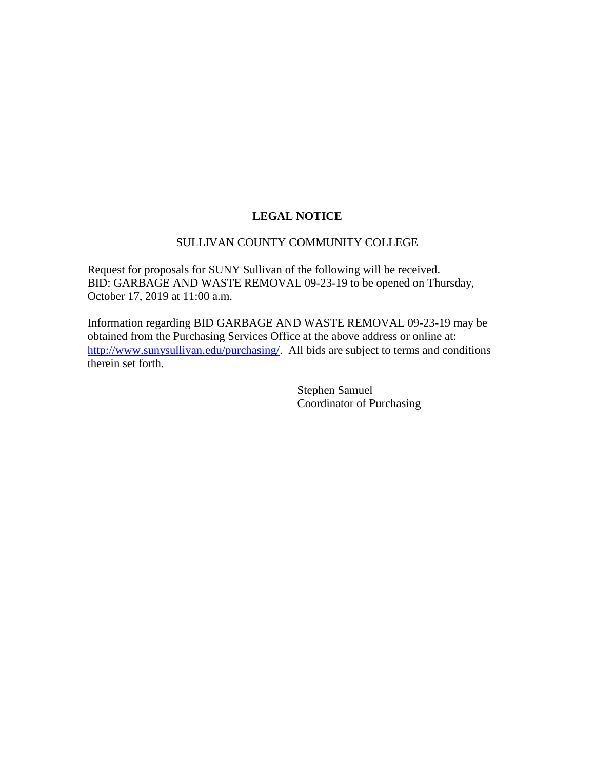## **LEGAL NOTICE**

## SULLIVAN COUNTY COMMUNITY COLLEGE

Request for proposals for SUNY Sullivan of the following will be received. BID: GARBAGE AND WASTE REMOVAL 09-23-19 to be opened on Thursday, October 17, 2019 at 11:00 a.m.

Information regarding BID GARBAGE AND WASTE REMOVAL 09-23-19 may be obtained from the Purchasing Services Office at the above address or online at: [http://www.sunysullivan.edu/purchasing/.](http://www.sunysullivan.edu/purchasing/) All bids are subject to terms and conditions therein set forth.

> Stephen Samuel Coordinator of Purchasing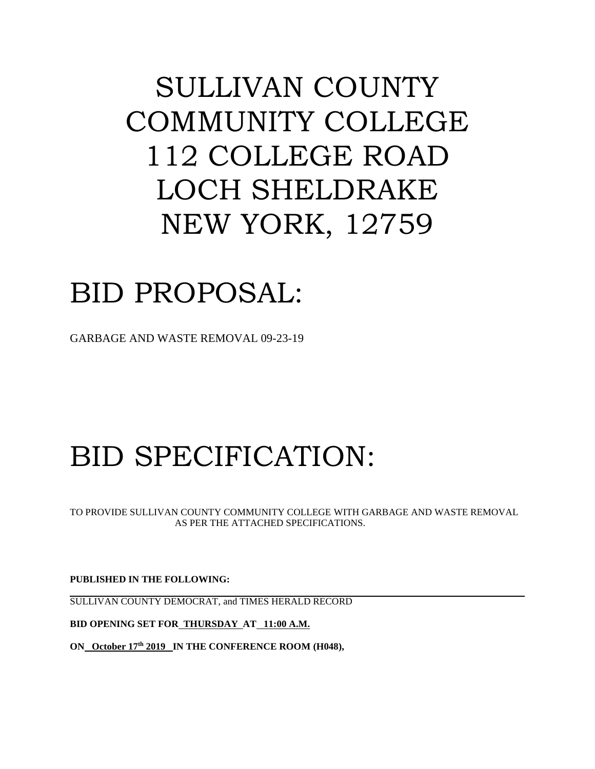## SULLIVAN COUNTY COMMUNITY COLLEGE 112 COLLEGE ROAD LOCH SHELDRAKE NEW YORK, 12759

## BID PROPOSAL:

GARBAGE AND WASTE REMOVAL 09-23-19

# BID SPECIFICATION:

TO PROVIDE SULLIVAN COUNTY COMMUNITY COLLEGE WITH GARBAGE AND WASTE REMOVAL AS PER THE ATTACHED SPECIFICATIONS.

**PUBLISHED IN THE FOLLOWING:**

SULLIVAN COUNTY DEMOCRAT, and TIMES HERALD RECORD

**BID OPENING SET FOR THURSDAY AT 11:00 A.M.** 

**ON October 17th 2019 IN THE CONFERENCE ROOM (H048),**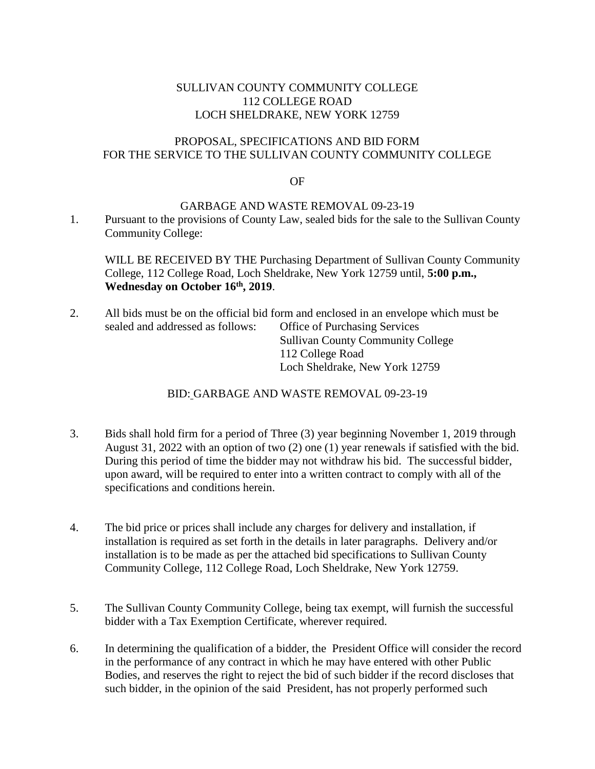## SULLIVAN COUNTY COMMUNITY COLLEGE 112 COLLEGE ROAD LOCH SHELDRAKE, NEW YORK 12759

## PROPOSAL, SPECIFICATIONS AND BID FORM FOR THE SERVICE TO THE SULLIVAN COUNTY COMMUNITY COLLEGE

#### OF

#### GARBAGE AND WASTE REMOVAL 09-23-19

1. Pursuant to the provisions of County Law, sealed bids for the sale to the Sullivan County Community College:

WILL BE RECEIVED BY THE Purchasing Department of Sullivan County Community College, 112 College Road, Loch Sheldrake, New York 12759 until, **5:00 p.m., Wednesday on October 16th , 2019**.

2. All bids must be on the official bid form and enclosed in an envelope which must be sealed and addressed as follows: Office of Purchasing Services Sullivan County Community College 112 College Road Loch Sheldrake, New York 12759

## BID: GARBAGE AND WASTE REMOVAL 09-23-19

- 3. Bids shall hold firm for a period of Three (3) year beginning November 1, 2019 through August 31, 2022 with an option of two (2) one (1) year renewals if satisfied with the bid. During this period of time the bidder may not withdraw his bid. The successful bidder, upon award, will be required to enter into a written contract to comply with all of the specifications and conditions herein.
- 4. The bid price or prices shall include any charges for delivery and installation, if installation is required as set forth in the details in later paragraphs. Delivery and/or installation is to be made as per the attached bid specifications to Sullivan County Community College, 112 College Road, Loch Sheldrake, New York 12759.
- 5. The Sullivan County Community College, being tax exempt, will furnish the successful bidder with a Tax Exemption Certificate, wherever required.
- 6. In determining the qualification of a bidder, the President Office will consider the record in the performance of any contract in which he may have entered with other Public Bodies, and reserves the right to reject the bid of such bidder if the record discloses that such bidder, in the opinion of the said President, has not properly performed such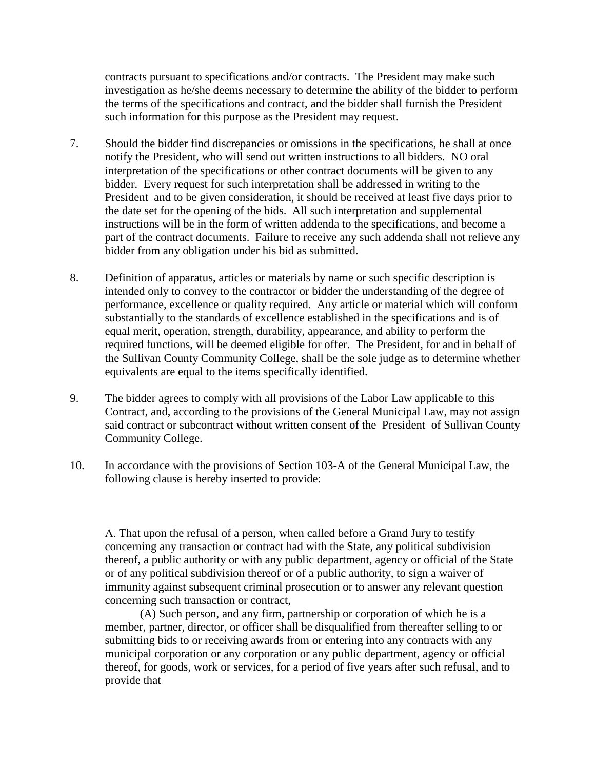contracts pursuant to specifications and/or contracts. The President may make such investigation as he/she deems necessary to determine the ability of the bidder to perform the terms of the specifications and contract, and the bidder shall furnish the President such information for this purpose as the President may request.

- 7. Should the bidder find discrepancies or omissions in the specifications, he shall at once notify the President, who will send out written instructions to all bidders. NO oral interpretation of the specifications or other contract documents will be given to any bidder. Every request for such interpretation shall be addressed in writing to the President and to be given consideration, it should be received at least five days prior to the date set for the opening of the bids. All such interpretation and supplemental instructions will be in the form of written addenda to the specifications, and become a part of the contract documents. Failure to receive any such addenda shall not relieve any bidder from any obligation under his bid as submitted.
- 8. Definition of apparatus, articles or materials by name or such specific description is intended only to convey to the contractor or bidder the understanding of the degree of performance, excellence or quality required. Any article or material which will conform substantially to the standards of excellence established in the specifications and is of equal merit, operation, strength, durability, appearance, and ability to perform the required functions, will be deemed eligible for offer. The President, for and in behalf of the Sullivan County Community College, shall be the sole judge as to determine whether equivalents are equal to the items specifically identified.
- 9. The bidder agrees to comply with all provisions of the Labor Law applicable to this Contract, and, according to the provisions of the General Municipal Law, may not assign said contract or subcontract without written consent of the President of Sullivan County Community College.
- 10. In accordance with the provisions of Section 103-A of the General Municipal Law, the following clause is hereby inserted to provide:

 That upon the refusal of a person, when called before a Grand Jury to testify concerning any transaction or contract had with the State, any political subdivision thereof, a public authority or with any public department, agency or official of the State or of any political subdivision thereof or of a public authority, to sign a waiver of immunity against subsequent criminal prosecution or to answer any relevant question concerning such transaction or contract,

(A) Such person, and any firm, partnership or corporation of which he is a member, partner, director, or officer shall be disqualified from thereafter selling to or submitting bids to or receiving awards from or entering into any contracts with any municipal corporation or any corporation or any public department, agency or official thereof, for goods, work or services, for a period of five years after such refusal, and to provide that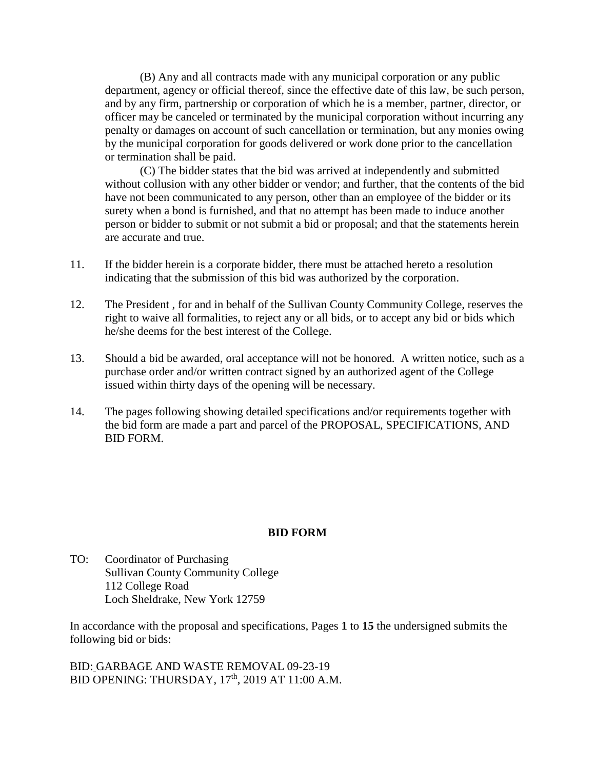(B) Any and all contracts made with any municipal corporation or any public department, agency or official thereof, since the effective date of this law, be such person, and by any firm, partnership or corporation of which he is a member, partner, director, or officer may be canceled or terminated by the municipal corporation without incurring any penalty or damages on account of such cancellation or termination, but any monies owing by the municipal corporation for goods delivered or work done prior to the cancellation or termination shall be paid.

(C) The bidder states that the bid was arrived at independently and submitted without collusion with any other bidder or vendor; and further, that the contents of the bid have not been communicated to any person, other than an employee of the bidder or its surety when a bond is furnished, and that no attempt has been made to induce another person or bidder to submit or not submit a bid or proposal; and that the statements herein are accurate and true.

- 11. If the bidder herein is a corporate bidder, there must be attached hereto a resolution indicating that the submission of this bid was authorized by the corporation.
- 12. The President , for and in behalf of the Sullivan County Community College, reserves the right to waive all formalities, to reject any or all bids, or to accept any bid or bids which he/she deems for the best interest of the College.
- 13. Should a bid be awarded, oral acceptance will not be honored. A written notice, such as a purchase order and/or written contract signed by an authorized agent of the College issued within thirty days of the opening will be necessary.
- 14. The pages following showing detailed specifications and/or requirements together with the bid form are made a part and parcel of the PROPOSAL, SPECIFICATIONS, AND BID FORM.

## **BID FORM**

TO: Coordinator of Purchasing Sullivan County Community College 112 College Road Loch Sheldrake, New York 12759

In accordance with the proposal and specifications, Pages **1** to **15** the undersigned submits the following bid or bids:

BID: GARBAGE AND WASTE REMOVAL 09-23-19 BID OPENING: THURSDAY, 17<sup>th</sup>, 2019 AT 11:00 A.M.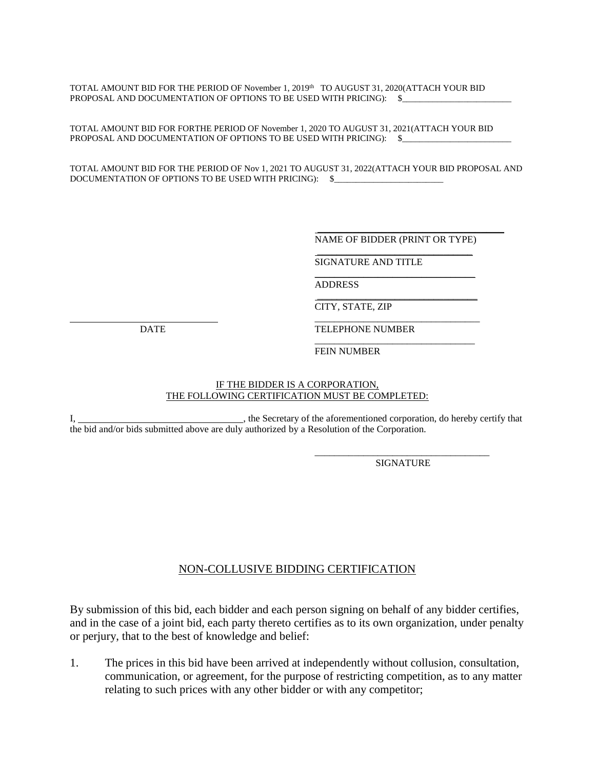TOTAL AMOUNT BID FOR THE PERIOD OF November 1, 2019th TO AUGUST 31, 2020(ATTACH YOUR BID PROPOSAL AND DOCUMENTATION OF OPTIONS TO BE USED WITH PRICING): \$

TOTAL AMOUNT BID FOR FORTHE PERIOD OF November 1, 2020 TO AUGUST 31, 2021(ATTACH YOUR BID PROPOSAL AND DOCUMENTATION OF OPTIONS TO BE USED WITH PRICING):  $\$$ 

TOTAL AMOUNT BID FOR THE PERIOD OF Nov 1, 2021 TO AUGUST 31, 2022(ATTACH YOUR BID PROPOSAL AND DOCUMENTATION OF OPTIONS TO BE USED WITH PRICING):  $$$ 

> NAME OF BIDDER (PRINT OR TYPE) \_\_\_\_\_\_\_\_\_\_\_\_\_\_\_\_\_\_\_\_\_\_\_\_\_\_\_\_\_\_\_\_

> \_\_\_\_\_\_\_\_\_\_\_\_\_\_\_\_\_\_\_\_\_\_\_\_\_\_\_\_\_\_\_\_\_

\_\_\_\_\_\_\_\_\_\_\_\_\_\_\_\_\_\_\_\_\_\_\_\_\_\_\_\_\_\_\_\_\_

\_\_\_\_\_\_\_\_\_\_\_\_\_\_\_\_\_\_\_\_\_\_\_\_\_\_\_\_\_\_\_\_

SIGNATURE AND TITLE

ADDRESS

CITY, STATE, ZIP

DATE TELEPHONE NUMBER

\_\_\_\_\_\_\_\_\_\_\_\_\_\_\_\_\_\_\_\_\_\_\_\_\_\_\_\_\_\_\_\_\_ FEIN NUMBER

#### IF THE BIDDER IS A CORPORATION, THE FOLLOWING CERTIFICATION MUST BE COMPLETED:

\_\_\_\_\_\_\_\_\_\_\_\_\_\_\_\_\_\_\_\_\_\_\_\_\_\_\_\_\_\_\_\_\_\_

I,  $\frac{1}{1}$ , the Secretary of the aforementioned corporation, do hereby certify that the bid and/or bids submitted above are duly authorized by a Resolution of the Corporation.

> \_\_\_\_\_\_\_\_\_\_\_\_\_\_\_\_\_\_\_\_\_\_\_\_\_\_\_\_\_\_\_\_\_\_\_\_ SIGNATURE

## NON-COLLUSIVE BIDDING CERTIFICATION

By submission of this bid, each bidder and each person signing on behalf of any bidder certifies, and in the case of a joint bid, each party thereto certifies as to its own organization, under penalty or perjury, that to the best of knowledge and belief:

1. The prices in this bid have been arrived at independently without collusion, consultation, communication, or agreement, for the purpose of restricting competition, as to any matter relating to such prices with any other bidder or with any competitor;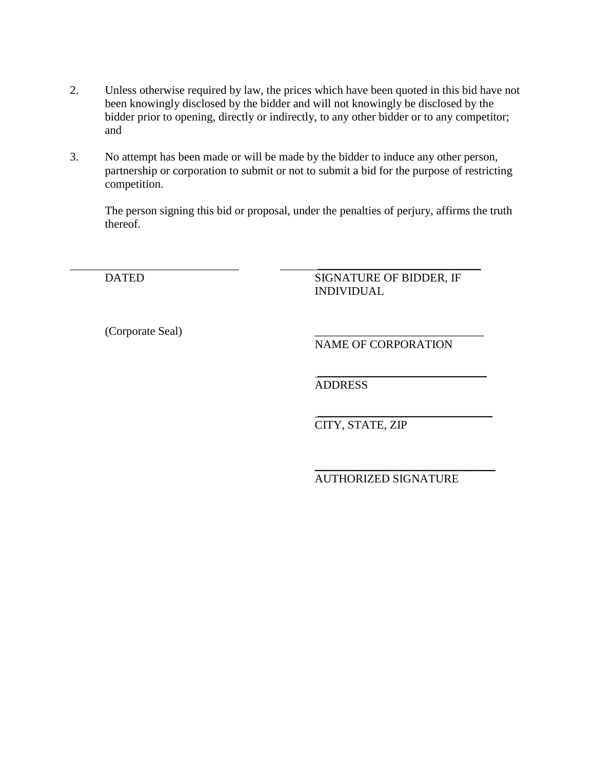- 2. Unless otherwise required by law, the prices which have been quoted in this bid have not been knowingly disclosed by the bidder and will not knowingly be disclosed by the bidder prior to opening, directly or indirectly, to any other bidder or to any competitor; and
- 3. No attempt has been made or will be made by the bidder to induce any other person, partnership or corporation to submit or not to submit a bid for the purpose of restricting competition.

\_\_\_\_\_\_\_\_\_\_\_\_\_\_\_\_\_\_\_\_\_\_\_\_\_\_\_\_

The person signing this bid or proposal, under the penalties of perjury, affirms the truth thereof.

DATED SIGNATURE OF BIDDER, IF INDIVIDUAL

(Corporate Seal) \_\_\_\_\_\_\_\_\_\_\_\_\_\_\_\_\_\_\_\_\_\_\_\_\_\_\_\_\_

NAME OF CORPORATION

\_\_\_\_\_\_\_\_\_\_\_\_\_\_\_\_\_\_\_\_\_\_\_\_\_\_\_\_\_ ADDRESS

\_\_\_\_\_\_\_\_\_\_\_\_\_\_\_\_\_\_\_\_\_\_\_\_\_\_\_\_\_\_ CITY, STATE, ZIP

\_\_\_\_\_\_\_\_\_\_\_\_\_\_\_\_\_\_\_\_\_\_\_\_\_\_\_\_\_\_\_ AUTHORIZED SIGNATURE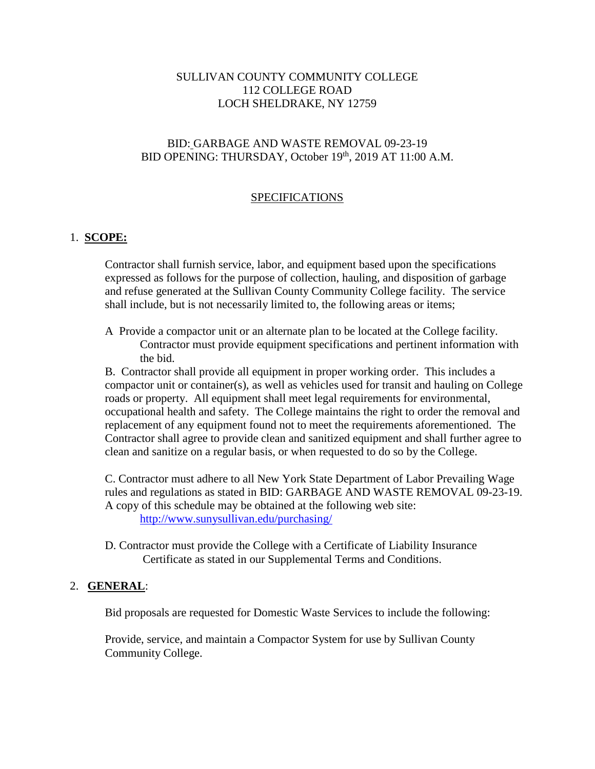## SULLIVAN COUNTY COMMUNITY COLLEGE 112 COLLEGE ROAD LOCH SHELDRAKE, NY 12759

## BID: GARBAGE AND WASTE REMOVAL 09-23-19 BID OPENING: THURSDAY, October 19<sup>th</sup>, 2019 AT 11:00 A.M.

## SPECIFICATIONS

## 1. **SCOPE:**

Contractor shall furnish service, labor, and equipment based upon the specifications expressed as follows for the purpose of collection, hauling, and disposition of garbage and refuse generated at the Sullivan County Community College facility. The service shall include, but is not necessarily limited to, the following areas or items;

A Provide a compactor unit or an alternate plan to be located at the College facility. Contractor must provide equipment specifications and pertinent information with the bid.

B. Contractor shall provide all equipment in proper working order. This includes a compactor unit or container(s), as well as vehicles used for transit and hauling on College roads or property. All equipment shall meet legal requirements for environmental, occupational health and safety. The College maintains the right to order the removal and replacement of any equipment found not to meet the requirements aforementioned. The Contractor shall agree to provide clean and sanitized equipment and shall further agree to clean and sanitize on a regular basis, or when requested to do so by the College.

C. Contractor must adhere to all New York State Department of Labor Prevailing Wage rules and regulations as stated in BID: GARBAGE AND WASTE REMOVAL 09-23-19. A copy of this schedule may be obtained at the following web site: <http://www.sunysullivan.edu/purchasing/>

D. Contractor must provide the College with a Certificate of Liability Insurance Certificate as stated in our Supplemental Terms and Conditions.

## 2. **GENERAL**:

Bid proposals are requested for Domestic Waste Services to include the following:

Provide, service, and maintain a Compactor System for use by Sullivan County Community College.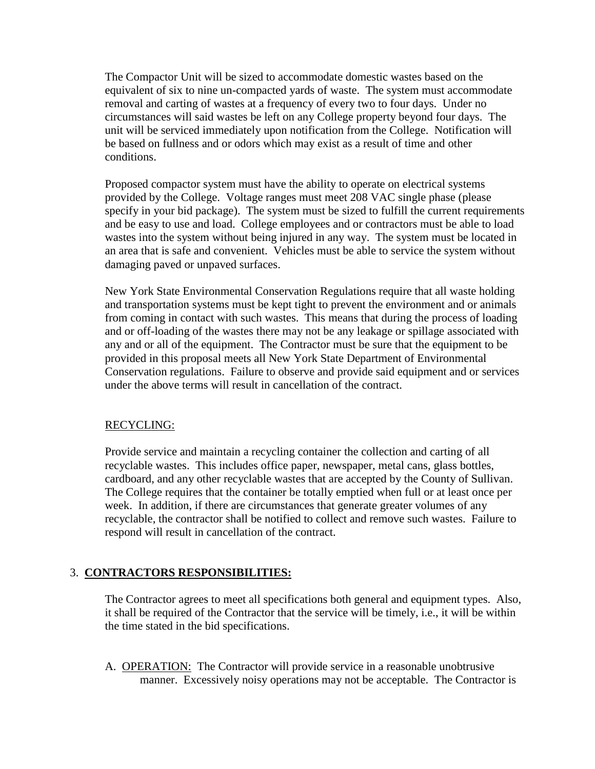The Compactor Unit will be sized to accommodate domestic wastes based on the equivalent of six to nine un-compacted yards of waste. The system must accommodate removal and carting of wastes at a frequency of every two to four days. Under no circumstances will said wastes be left on any College property beyond four days. The unit will be serviced immediately upon notification from the College. Notification will be based on fullness and or odors which may exist as a result of time and other conditions.

Proposed compactor system must have the ability to operate on electrical systems provided by the College. Voltage ranges must meet 208 VAC single phase (please specify in your bid package). The system must be sized to fulfill the current requirements and be easy to use and load. College employees and or contractors must be able to load wastes into the system without being injured in any way. The system must be located in an area that is safe and convenient. Vehicles must be able to service the system without damaging paved or unpaved surfaces.

New York State Environmental Conservation Regulations require that all waste holding and transportation systems must be kept tight to prevent the environment and or animals from coming in contact with such wastes. This means that during the process of loading and or off-loading of the wastes there may not be any leakage or spillage associated with any and or all of the equipment. The Contractor must be sure that the equipment to be provided in this proposal meets all New York State Department of Environmental Conservation regulations. Failure to observe and provide said equipment and or services under the above terms will result in cancellation of the contract.

## RECYCLING:

Provide service and maintain a recycling container the collection and carting of all recyclable wastes. This includes office paper, newspaper, metal cans, glass bottles, cardboard, and any other recyclable wastes that are accepted by the County of Sullivan. The College requires that the container be totally emptied when full or at least once per week. In addition, if there are circumstances that generate greater volumes of any recyclable, the contractor shall be notified to collect and remove such wastes. Failure to respond will result in cancellation of the contract.

## 3. **CONTRACTORS RESPONSIBILITIES:**

The Contractor agrees to meet all specifications both general and equipment types. Also, it shall be required of the Contractor that the service will be timely, i.e., it will be within the time stated in the bid specifications.

A. OPERATION: The Contractor will provide service in a reasonable unobtrusive manner. Excessively noisy operations may not be acceptable. The Contractor is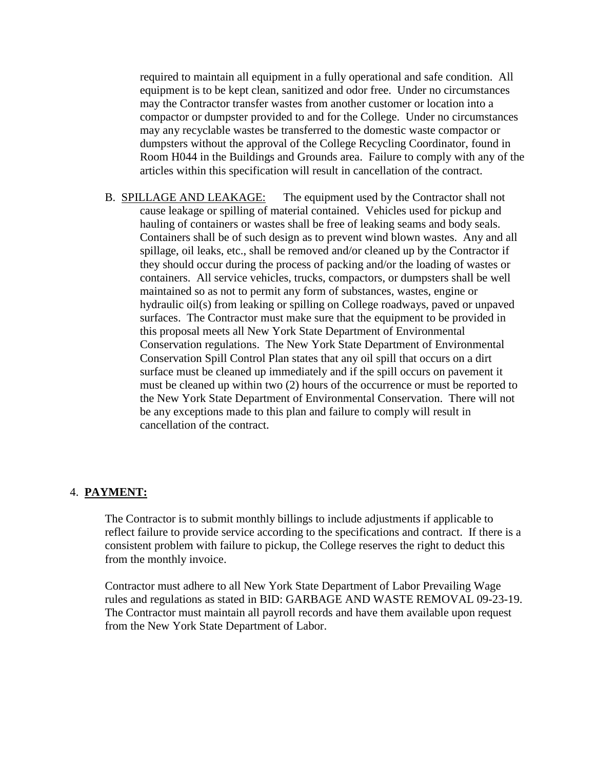required to maintain all equipment in a fully operational and safe condition. All equipment is to be kept clean, sanitized and odor free. Under no circumstances may the Contractor transfer wastes from another customer or location into a compactor or dumpster provided to and for the College. Under no circumstances may any recyclable wastes be transferred to the domestic waste compactor or dumpsters without the approval of the College Recycling Coordinator, found in Room H044 in the Buildings and Grounds area. Failure to comply with any of the articles within this specification will result in cancellation of the contract.

B. SPILLAGE AND LEAKAGE: The equipment used by the Contractor shall not cause leakage or spilling of material contained. Vehicles used for pickup and hauling of containers or wastes shall be free of leaking seams and body seals. Containers shall be of such design as to prevent wind blown wastes. Any and all spillage, oil leaks, etc., shall be removed and/or cleaned up by the Contractor if they should occur during the process of packing and/or the loading of wastes or containers. All service vehicles, trucks, compactors, or dumpsters shall be well maintained so as not to permit any form of substances, wastes, engine or hydraulic oil(s) from leaking or spilling on College roadways, paved or unpaved surfaces. The Contractor must make sure that the equipment to be provided in this proposal meets all New York State Department of Environmental Conservation regulations. The New York State Department of Environmental Conservation Spill Control Plan states that any oil spill that occurs on a dirt surface must be cleaned up immediately and if the spill occurs on pavement it must be cleaned up within two (2) hours of the occurrence or must be reported to the New York State Department of Environmental Conservation. There will not be any exceptions made to this plan and failure to comply will result in cancellation of the contract.

#### 4. **PAYMENT:**

The Contractor is to submit monthly billings to include adjustments if applicable to reflect failure to provide service according to the specifications and contract. If there is a consistent problem with failure to pickup, the College reserves the right to deduct this from the monthly invoice.

Contractor must adhere to all New York State Department of Labor Prevailing Wage rules and regulations as stated in BID: GARBAGE AND WASTE REMOVAL 09-23-19. The Contractor must maintain all payroll records and have them available upon request from the New York State Department of Labor.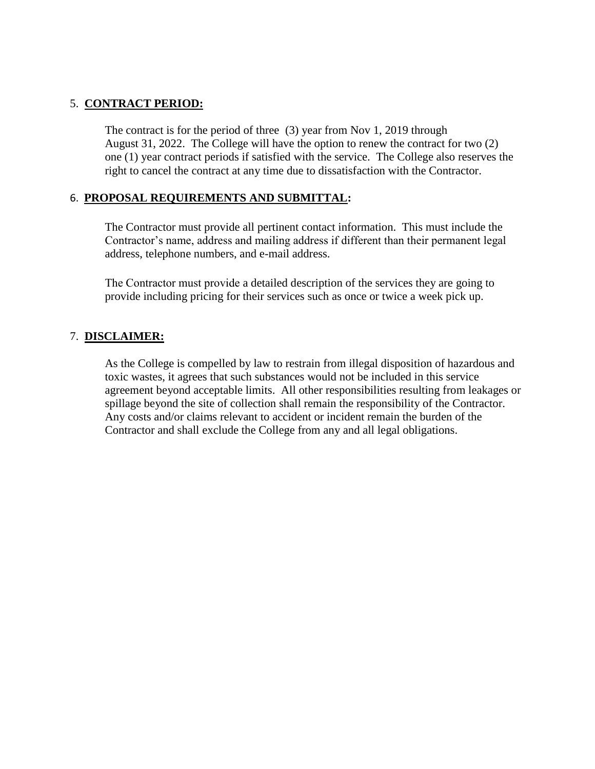## 5. **CONTRACT PERIOD:**

The contract is for the period of three (3) year from Nov 1, 2019 through August 31, 2022. The College will have the option to renew the contract for two (2) one (1) year contract periods if satisfied with the service. The College also reserves the right to cancel the contract at any time due to dissatisfaction with the Contractor.

## 6. **PROPOSAL REQUIREMENTS AND SUBMITTAL:**

The Contractor must provide all pertinent contact information. This must include the Contractor's name, address and mailing address if different than their permanent legal address, telephone numbers, and e-mail address.

The Contractor must provide a detailed description of the services they are going to provide including pricing for their services such as once or twice a week pick up.

## 7. **DISCLAIMER:**

As the College is compelled by law to restrain from illegal disposition of hazardous and toxic wastes, it agrees that such substances would not be included in this service agreement beyond acceptable limits. All other responsibilities resulting from leakages or spillage beyond the site of collection shall remain the responsibility of the Contractor. Any costs and/or claims relevant to accident or incident remain the burden of the Contractor and shall exclude the College from any and all legal obligations.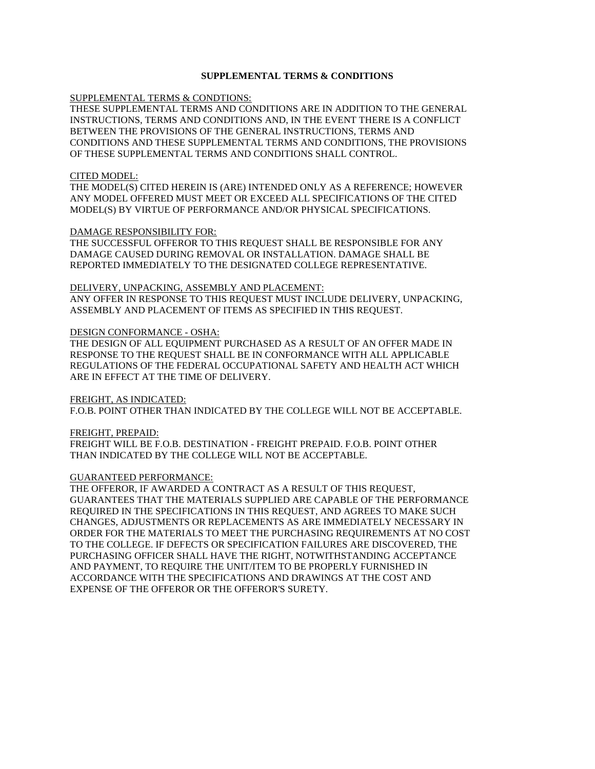#### **SUPPLEMENTAL TERMS & CONDITIONS**

SUPPLEMENTAL TERMS & CONDTIONS:

THESE SUPPLEMENTAL TERMS AND CONDITIONS ARE IN ADDITION TO THE GENERAL INSTRUCTIONS, TERMS AND CONDITIONS AND, IN THE EVENT THERE IS A CONFLICT BETWEEN THE PROVISIONS OF THE GENERAL INSTRUCTIONS, TERMS AND CONDITIONS AND THESE SUPPLEMENTAL TERMS AND CONDITIONS, THE PROVISIONS OF THESE SUPPLEMENTAL TERMS AND CONDITIONS SHALL CONTROL.

#### CITED MODEL:

THE MODEL(S) CITED HEREIN IS (ARE) INTENDED ONLY AS A REFERENCE; HOWEVER ANY MODEL OFFERED MUST MEET OR EXCEED ALL SPECIFICATIONS OF THE CITED MODEL(S) BY VIRTUE OF PERFORMANCE AND/OR PHYSICAL SPECIFICATIONS.

#### DAMAGE RESPONSIBILITY FOR:

THE SUCCESSFUL OFFEROR TO THIS REQUEST SHALL BE RESPONSIBLE FOR ANY DAMAGE CAUSED DURING REMOVAL OR INSTALLATION. DAMAGE SHALL BE REPORTED IMMEDIATELY TO THE DESIGNATED COLLEGE REPRESENTATIVE.

DELIVERY, UNPACKING, ASSEMBLY AND PLACEMENT: ANY OFFER IN RESPONSE TO THIS REQUEST MUST INCLUDE DELIVERY, UNPACKING, ASSEMBLY AND PLACEMENT OF ITEMS AS SPECIFIED IN THIS REQUEST.

#### DESIGN CONFORMANCE - OSHA:

THE DESIGN OF ALL EQUIPMENT PURCHASED AS A RESULT OF AN OFFER MADE IN RESPONSE TO THE REQUEST SHALL BE IN CONFORMANCE WITH ALL APPLICABLE REGULATIONS OF THE FEDERAL OCCUPATIONAL SAFETY AND HEALTH ACT WHICH ARE IN EFFECT AT THE TIME OF DELIVERY.

#### FREIGHT, AS INDICATED:

F.O.B. POINT OTHER THAN INDICATED BY THE COLLEGE WILL NOT BE ACCEPTABLE.

#### FREIGHT, PREPAID:

FREIGHT WILL BE F.O.B. DESTINATION - FREIGHT PREPAID. F.O.B. POINT OTHER THAN INDICATED BY THE COLLEGE WILL NOT BE ACCEPTABLE.

#### GUARANTEED PERFORMANCE:

THE OFFEROR, IF AWARDED A CONTRACT AS A RESULT OF THIS REQUEST, GUARANTEES THAT THE MATERIALS SUPPLIED ARE CAPABLE OF THE PERFORMANCE REQUIRED IN THE SPECIFICATIONS IN THIS REQUEST, AND AGREES TO MAKE SUCH CHANGES, ADJUSTMENTS OR REPLACEMENTS AS ARE IMMEDIATELY NECESSARY IN ORDER FOR THE MATERIALS TO MEET THE PURCHASING REQUIREMENTS AT NO COST TO THE COLLEGE. IF DEFECTS OR SPECIFICATION FAILURES ARE DISCOVERED, THE PURCHASING OFFICER SHALL HAVE THE RIGHT, NOTWITHSTANDING ACCEPTANCE AND PAYMENT, TO REQUIRE THE UNIT/ITEM TO BE PROPERLY FURNISHED IN ACCORDANCE WITH THE SPECIFICATIONS AND DRAWINGS AT THE COST AND EXPENSE OF THE OFFEROR OR THE OFFEROR'S SURETY.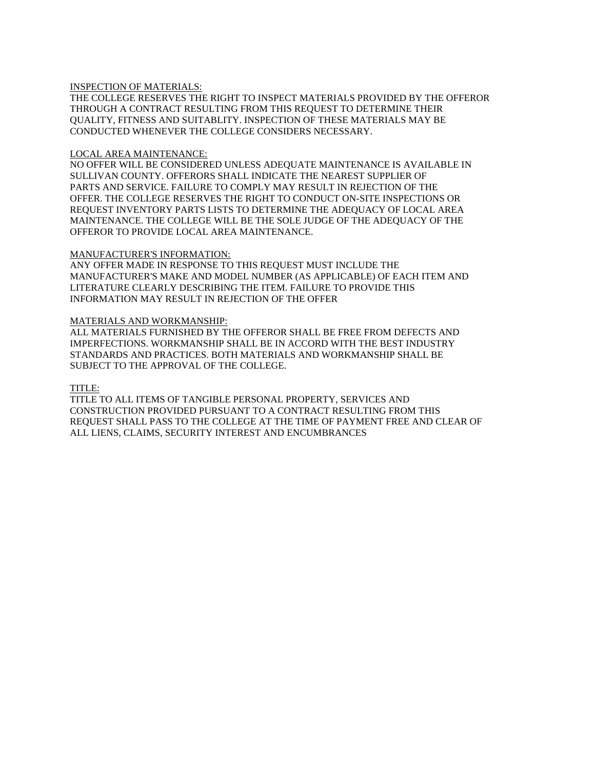#### INSPECTION OF MATERIALS:

THE COLLEGE RESERVES THE RIGHT TO INSPECT MATERIALS PROVIDED BY THE OFFEROR THROUGH A CONTRACT RESULTING FROM THIS REQUEST TO DETERMINE THEIR QUALITY, FITNESS AND SUITABLITY. INSPECTION OF THESE MATERIALS MAY BE CONDUCTED WHENEVER THE COLLEGE CONSIDERS NECESSARY.

#### LOCAL AREA MAINTENANCE:

NO OFFER WILL BE CONSIDERED UNLESS ADEQUATE MAINTENANCE IS AVAILABLE IN SULLIVAN COUNTY. OFFERORS SHALL INDICATE THE NEAREST SUPPLIER OF PARTS AND SERVICE. FAILURE TO COMPLY MAY RESULT IN REJECTION OF THE OFFER. THE COLLEGE RESERVES THE RIGHT TO CONDUCT ON-SITE INSPECTIONS OR REQUEST INVENTORY PARTS LISTS TO DETERMINE THE ADEQUACY OF LOCAL AREA MAINTENANCE. THE COLLEGE WILL BE THE SOLE JUDGE OF THE ADEQUACY OF THE OFFEROR TO PROVIDE LOCAL AREA MAINTENANCE.

#### MANUFACTURER'S INFORMATION:

ANY OFFER MADE IN RESPONSE TO THIS REQUEST MUST INCLUDE THE MANUFACTURER'S MAKE AND MODEL NUMBER (AS APPLICABLE) OF EACH ITEM AND LITERATURE CLEARLY DESCRIBING THE ITEM. FAILURE TO PROVIDE THIS INFORMATION MAY RESULT IN REJECTION OF THE OFFER

#### MATERIALS AND WORKMANSHIP:

ALL MATERIALS FURNISHED BY THE OFFEROR SHALL BE FREE FROM DEFECTS AND IMPERFECTIONS. WORKMANSHIP SHALL BE IN ACCORD WITH THE BEST INDUSTRY STANDARDS AND PRACTICES. BOTH MATERIALS AND WORKMANSHIP SHALL BE SUBJECT TO THE APPROVAL OF THE COLLEGE.

#### TITLE:

TITLE TO ALL ITEMS OF TANGIBLE PERSONAL PROPERTY, SERVICES AND CONSTRUCTION PROVIDED PURSUANT TO A CONTRACT RESULTING FROM THIS REQUEST SHALL PASS TO THE COLLEGE AT THE TIME OF PAYMENT FREE AND CLEAR OF ALL LIENS, CLAIMS, SECURITY INTEREST AND ENCUMBRANCES